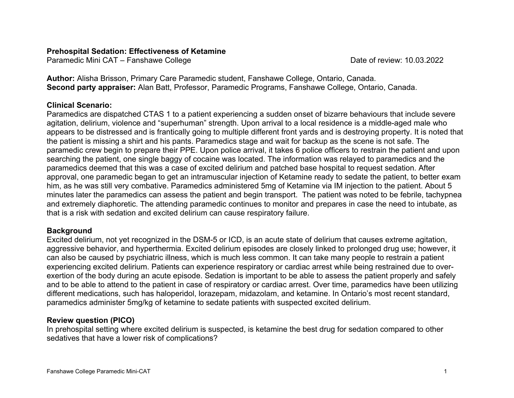## **Prehospital Sedation: Effectiveness of Ketamine**

Paramedic Mini CAT – Fanshawe College Date of review: 10.03.2022

**Author:** Alisha Brisson, Primary Care Paramedic student, Fanshawe College, Ontario, Canada. **Second party appraiser:** Alan Batt, Professor, Paramedic Programs, Fanshawe College, Ontario, Canada.

# **Clinical Scenario:**

Paramedics are dispatched CTAS 1 to a patient experiencing a sudden onset of bizarre behaviours that include severe agitation, delirium, violence and "superhuman" strength. Upon arrival to a local residence is a middle-aged male who appears to be distressed and is frantically going to multiple different front yards and is destroying property. It is noted that the patient is missing a shirt and his pants. Paramedics stage and wait for backup as the scene is not safe. The paramedic crew begin to prepare their PPE. Upon police arrival, it takes 6 police officers to restrain the patient and upon searching the patient, one single baggy of cocaine was located. The information was relayed to paramedics and the paramedics deemed that this was a case of excited delirium and patched base hospital to request sedation. After approval, one paramedic began to get an intramuscular injection of Ketamine ready to sedate the patient, to better exam him, as he was still very combative. Paramedics administered 5mg of Ketamine via IM injection to the patient. About 5 minutes later the paramedics can assess the patient and begin transport. The patient was noted to be febrile, tachypnea and extremely diaphoretic. The attending paramedic continues to monitor and prepares in case the need to intubate, as that is a risk with sedation and excited delirium can cause respiratory failure.

## **Background**

Excited delirium, not yet recognized in the DSM-5 or ICD, is an acute state of delirium that causes extreme agitation, aggressive behavior, and hyperthermia. Excited delirium episodes are closely linked to prolonged drug use; however, it can also be caused by psychiatric illness, which is much less common. It can take many people to restrain a patient experiencing excited delirium. Patients can experience respiratory or cardiac arrest while being restrained due to overexertion of the body during an acute episode. Sedation is important to be able to assess the patient properly and safely and to be able to attend to the patient in case of respiratory or cardiac arrest. Over time, paramedics have been utilizing different medications, such has haloperidol, lorazepam, midazolam, and ketamine. In Ontario's most recent standard, paramedics administer 5mg/kg of ketamine to sedate patients with suspected excited delirium.

## **Review question (PICO)**

In prehospital setting where excited delirium is suspected, is ketamine the best drug for sedation compared to other sedatives that have a lower risk of complications?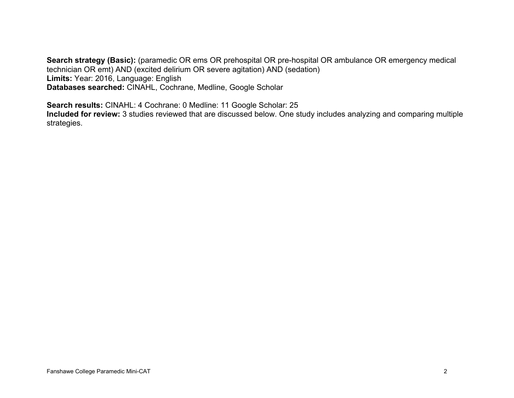**Search strategy (Basic):** (paramedic OR ems OR prehospital OR pre-hospital OR ambulance OR emergency medical technician OR emt) AND (excited delirium OR severe agitation) AND (sedation) **Limits:** Year: 2016, Language: English **Databases searched:** CINAHL, Cochrane, Medline, Google Scholar

**Search results:** CINAHL: 4 Cochrane: 0 Medline: 11 Google Scholar: 25

**Included for review:** 3 studies reviewed that are discussed below. One study includes analyzing and comparing multiple strategies.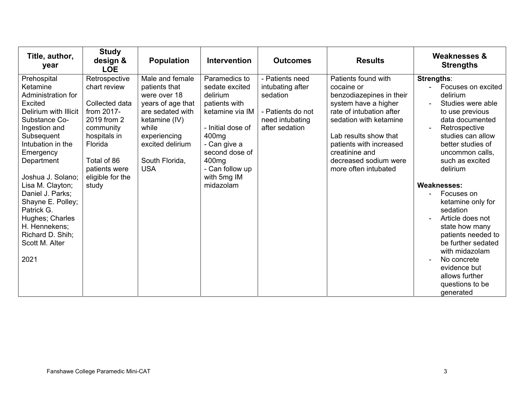| Title, author,<br>year                                                                                                                                                                                                                                                                                                                                                     | <b>Study</b><br>design &<br><b>LOE</b>                                                                                                                                            | <b>Population</b>                                                                                                                                                                       | Intervention                                                                                                                                                                                                                    | <b>Outcomes</b>                                                                                           | <b>Results</b>                                                                                                                                                                                                                                                     | <b>Weaknesses &amp;</b><br><b>Strengths</b>                                                                                                                                                                                                                                                                                                                                                                                                                                    |
|----------------------------------------------------------------------------------------------------------------------------------------------------------------------------------------------------------------------------------------------------------------------------------------------------------------------------------------------------------------------------|-----------------------------------------------------------------------------------------------------------------------------------------------------------------------------------|-----------------------------------------------------------------------------------------------------------------------------------------------------------------------------------------|---------------------------------------------------------------------------------------------------------------------------------------------------------------------------------------------------------------------------------|-----------------------------------------------------------------------------------------------------------|--------------------------------------------------------------------------------------------------------------------------------------------------------------------------------------------------------------------------------------------------------------------|--------------------------------------------------------------------------------------------------------------------------------------------------------------------------------------------------------------------------------------------------------------------------------------------------------------------------------------------------------------------------------------------------------------------------------------------------------------------------------|
| Prehospital<br>Ketamine<br>Administration for<br><b>Excited</b><br>Delirium with Illicit<br>Substance Co-<br>Ingestion and<br>Subsequent<br>Intubation in the<br>Emergency<br>Department<br>Joshua J. Solano;<br>Lisa M. Clayton;<br>Daniel J. Parks;<br>Shayne E. Polley;<br>Patrick G.<br>Hughes; Charles<br>H. Hennekens;<br>Richard D. Shih;<br>Scott M. Alter<br>2021 | Retrospective<br>chart review<br>Collected data<br>from 2017-<br>2019 from 2<br>community<br>hospitals in<br>Florida<br>Total of 86<br>patients were<br>eligible for the<br>study | Male and female<br>patients that<br>were over 18<br>years of age that<br>are sedated with<br>ketamine (IV)<br>while<br>experiencing<br>excited delirium<br>South Florida,<br><b>USA</b> | Paramedics to<br>sedate excited<br>delirium<br>patients with<br>ketamine via IM<br>- Initial dose of<br>400 <sub>mg</sub><br>- Can give a<br>second dose of<br>400 <sub>mq</sub><br>- Can follow up<br>with 5mg IM<br>midazolam | - Patients need<br>intubating after<br>sedation<br>- Patients do not<br>need intubating<br>after sedation | Patients found with<br>cocaine or<br>benzodiazepines in their<br>system have a higher<br>rate of intubation after<br>sedation with ketamine<br>Lab results show that<br>patients with increased<br>creatinine and<br>decreased sodium were<br>more often intubated | Strengths:<br>Focuses on excited<br>delirium<br>Studies were able<br>to use previous<br>data documented<br>Retrospective<br>studies can allow<br>better studies of<br>uncommon calls,<br>such as excited<br>delirium<br><b>Weaknesses:</b><br>Focuses on<br>ketamine only for<br>sedation<br>Article does not<br>state how many<br>patients needed to<br>be further sedated<br>with midazolam<br>No concrete<br>evidence but<br>allows further<br>questions to be<br>generated |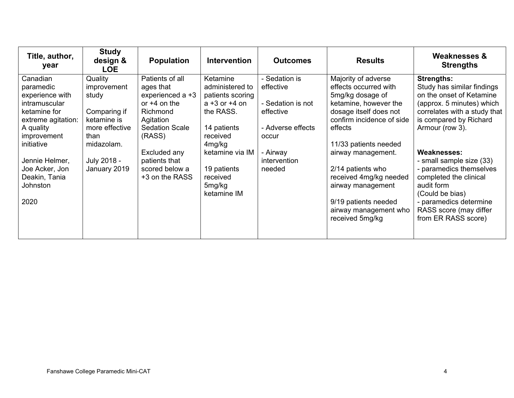| Title, author,<br>year        | <b>Study</b><br>design &<br><b>LOE</b> | <b>Population</b>               | <b>Intervention</b>               | <b>Outcomes</b>                | <b>Results</b>                                  | <b>Weaknesses &amp;</b><br><b>Strengths</b>               |
|-------------------------------|----------------------------------------|---------------------------------|-----------------------------------|--------------------------------|-------------------------------------------------|-----------------------------------------------------------|
| Canadian<br>paramedic         | Quality<br>improvement                 | Patients of all<br>ages that    | Ketamine<br>administered to       | - Sedation is<br>effective     | Majority of adverse<br>effects occurred with    | <b>Strengths:</b><br>Study has similar findings           |
| experience with               | study                                  | experienced a +3                | patients scoring                  |                                | 5mg/kg dosage of                                | on the onset of Ketamine                                  |
| intramuscular<br>ketamine for | Comparing if                           | or $+4$ on the<br>Richmond      | $a + 3$ or $+4$ on<br>the RASS.   | - Sedation is not<br>effective | ketamine, however the<br>dosage itself does not | (approx. 5 minutes) which<br>correlates with a study that |
| extreme agitation:            | ketamine is                            | Agitation                       |                                   |                                | confirm incidence of side                       | is compared by Richard                                    |
| A quality                     | more effective<br>than                 | <b>Sedation Scale</b><br>(RASS) | 14 patients<br>received           | - Adverse effects<br>occur     | effects                                         | Armour (row 3).                                           |
| improvement<br>initiative     | midazolam.                             |                                 | 4 <sub>mg/kg</sub>                |                                | 11/33 patients needed                           |                                                           |
| Jennie Helmer,                | July 2018 -                            | Excluded any<br>patients that   | ketamine via IM                   | - Airway<br>intervention       | airway management.                              | <b>Weaknesses:</b>                                        |
| Joe Acker, Jon                | January 2019                           | scored below a                  | 19 patients                       | needed                         | 2/14 patients who                               | - small sample size (33)<br>- paramedics themselves       |
| Deakin, Tania                 |                                        | +3 on the RASS                  | received                          |                                | received 4mg/kg needed                          | completed the clinical                                    |
| Johnston                      |                                        |                                 | 5 <sub>mg/kg</sub><br>ketamine IM |                                | airway management                               | audit form<br>(Could be bias)                             |
| 2020                          |                                        |                                 |                                   |                                | 9/19 patients needed                            | - paramedics determine                                    |
|                               |                                        |                                 |                                   |                                | airway management who<br>received 5mg/kg        | RASS score (may differ<br>from ER RASS score)             |
|                               |                                        |                                 |                                   |                                |                                                 |                                                           |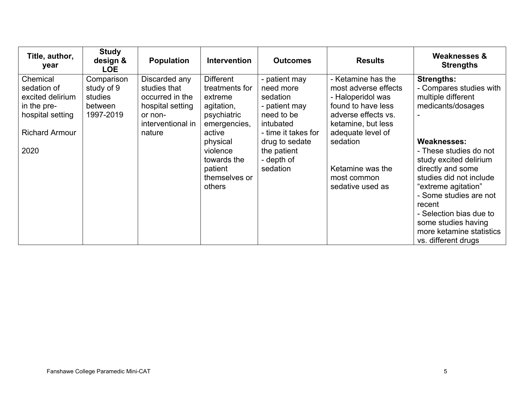| Title, author,<br>year          | <b>Study</b><br>design &<br><b>LOE</b> | <b>Population</b>               | Intervention              | <b>Outcomes</b>           | <b>Results</b>                            | <b>Weaknesses &amp;</b><br><b>Strengths</b>      |
|---------------------------------|----------------------------------------|---------------------------------|---------------------------|---------------------------|-------------------------------------------|--------------------------------------------------|
| Chemical                        | Comparison                             | Discarded any                   | <b>Different</b>          | - patient may             | - Ketamine has the                        | <b>Strengths:</b>                                |
| sedation of<br>excited delirium | study of 9<br>studies                  | studies that<br>occurred in the | treatments for<br>extreme | need more<br>sedation     | most adverse effects<br>- Haloperidol was | - Compares studies with<br>multiple different    |
| in the pre-                     | between                                | hospital setting                | agitation,                | - patient may             | found to have less                        | medicants/dosages                                |
| hospital setting                | 1997-2019                              | or non-                         | psychiatric               | need to be                | adverse effects vs.                       |                                                  |
|                                 |                                        | interventional in               | emergencies,              | intubated                 | ketamine, but less                        |                                                  |
| <b>Richard Armour</b>           |                                        | nature                          | active                    | - time it takes for       | adequate level of                         |                                                  |
|                                 |                                        |                                 | physical<br>violence      | drug to sedate            | sedation                                  | Weaknesses:                                      |
| 2020                            |                                        |                                 | towards the               | the patient<br>- depth of |                                           | - These studies do not<br>study excited delirium |
|                                 |                                        |                                 | patient                   | sedation                  | Ketamine was the                          | directly and some                                |
|                                 |                                        |                                 | themselves or             |                           | most common                               | studies did not include                          |
|                                 |                                        |                                 | others                    |                           | sedative used as                          | "extreme agitation"                              |
|                                 |                                        |                                 |                           |                           |                                           | - Some studies are not                           |
|                                 |                                        |                                 |                           |                           |                                           | recent<br>- Selection bias due to                |
|                                 |                                        |                                 |                           |                           |                                           | some studies having                              |
|                                 |                                        |                                 |                           |                           |                                           | more ketamine statistics                         |
|                                 |                                        |                                 |                           |                           |                                           | vs. different drugs                              |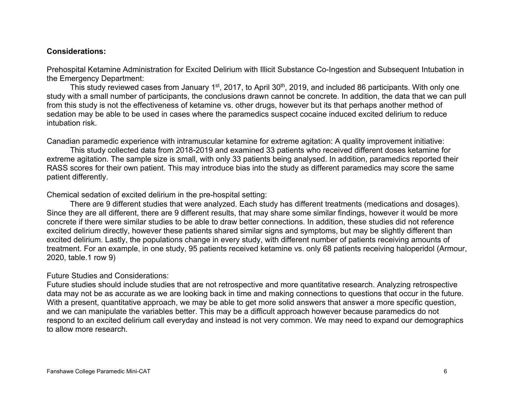#### **Considerations:**

Prehospital Ketamine Administration for Excited Delirium with Illicit Substance Co-Ingestion and Subsequent Intubation in the Emergency Department:

This study reviewed cases from January 1<sup>st</sup>, 2017, to April 30<sup>th</sup>, 2019, and included 86 participants. With only one study with a small number of participants, the conclusions drawn cannot be concrete. In addition, the data that we can pull from this study is not the effectiveness of ketamine vs. other drugs, however but its that perhaps another method of sedation may be able to be used in cases where the paramedics suspect cocaine induced excited delirium to reduce intubation risk.

Canadian paramedic experience with intramuscular ketamine for extreme agitation: A quality improvement initiative:

 This study collected data from 2018-2019 and examined 33 patients who received different doses ketamine for extreme agitation. The sample size is small, with only 33 patients being analysed. In addition, paramedics reported their RASS scores for their own patient. This may introduce bias into the study as different paramedics may score the same patient differently.

Chemical sedation of excited delirium in the pre-hospital setting:

There are 9 different studies that were analyzed. Each study has different treatments (medications and dosages). Since they are all different, there are 9 different results, that may share some similar findings, however it would be more concrete if there were similar studies to be able to draw better connections. In addition, these studies did not reference excited delirium directly, however these patients shared similar signs and symptoms, but may be slightly different than excited delirium. Lastly, the populations change in every study, with different number of patients receiving amounts of treatment. For an example, in one study, 95 patients received ketamine vs. only 68 patients receiving haloperidol (Armour, 2020, table.1 row 9)

#### Future Studies and Considerations:

Future studies should include studies that are not retrospective and more quantitative research. Analyzing retrospective data may not be as accurate as we are looking back in time and making connections to questions that occur in the future. With a present, quantitative approach, we may be able to get more solid answers that answer a more specific question, and we can manipulate the variables better. This may be a difficult approach however because paramedics do not respond to an excited delirium call everyday and instead is not very common. We may need to expand our demographics to allow more research.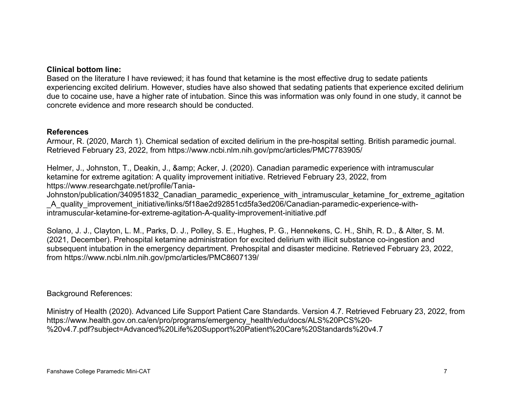### **Clinical bottom line:**

Based on the literature I have reviewed; it has found that ketamine is the most effective drug to sedate patients experiencing excited delirium. However, studies have also showed that sedating patients that experience excited delirium due to cocaine use, have a higher rate of intubation. Since this was information was only found in one study, it cannot be concrete evidence and more research should be conducted.

### **References**

Armour, R. (2020, March 1). Chemical sedation of excited delirium in the pre-hospital setting. British paramedic journal. Retrieved February 23, 2022, from https://www.ncbi.nlm.nih.gov/pmc/articles/PMC7783905/

Helmer, J., Johnston, T., Deakin, J., & amp; Acker, J. (2020). Canadian paramedic experience with intramuscular ketamine for extreme agitation: A quality improvement initiative. Retrieved February 23, 2022, from https://www.researchgate.net/profile/Tania-

Johnston/publication/340951832 Canadian paramedic experience with intramuscular ketamine for extreme agitation \_A\_quality\_improvement\_initiative/links/5f18ae2d92851cd5fa3ed206/Canadian-paramedic-experience-withintramuscular-ketamine-for-extreme-agitation-A-quality-improvement-initiative.pdf

Solano, J. J., Clayton, L. M., Parks, D. J., Polley, S. E., Hughes, P. G., Hennekens, C. H., Shih, R. D., & Alter, S. M. (2021, December). Prehospital ketamine administration for excited delirium with illicit substance co-ingestion and subsequent intubation in the emergency department. Prehospital and disaster medicine. Retrieved February 23, 2022, from https://www.ncbi.nlm.nih.gov/pmc/articles/PMC8607139/

Background References:

Ministry of Health (2020). Advanced Life Support Patient Care Standards. Version 4.7. Retrieved February 23, 2022, from https://www.health.gov.on.ca/en/pro/programs/emergency\_health/edu/docs/ALS%20PCS%20- %20v4.7.pdf?subject=Advanced%20Life%20Support%20Patient%20Care%20Standards%20v4.7